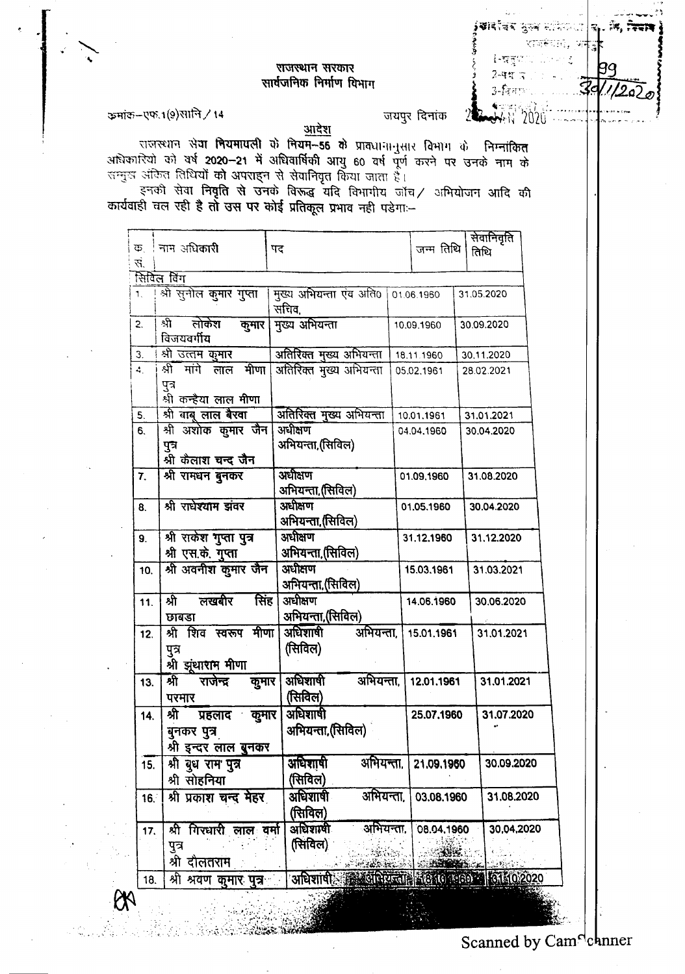## **अ**वर्तद्वर ठुल्न समित**ा |**क् ंड, उस्सा श्वक्रीसं, फ +िष्णुपाए पालना इ  $2 - 4 - 7$  $3$ -fearsh

**JAN 2020** 

## राजस्थान सरकार सार्वजनिक निर्माण विभाग

ক্তরাক্ত-एफ.1(9) মানি / 14

जयपुर दिनांक  $\mathbb{Z}$ 

आधिकारियों को वर्ष 2020-21 में अधिवार्षिकी आयु 60 वर्ष पूर्ण करने पर उनके नाम के सम्मुख अंकित तिथियों को अपराहन से सेवानिवृत किया जाता है।

इनको सेवा निवृति से उनके विरुद्ध यदि विभागीय जाँच/ अभियोजन आदि की कार्यवाही चल रही है तो उस पर कोई प्रतिकूल प्रभाव नही पड़ेगा :-

|                |                                                                        |                                                             |            | सेवानिवृति |
|----------------|------------------------------------------------------------------------|-------------------------------------------------------------|------------|------------|
| ক              | । नाम अधि <b>कारी</b>                                                  | पद                                                          | जन्म तिथि  | तिथि       |
| स.             |                                                                        |                                                             |            |            |
|                | सिविल विंग                                                             |                                                             |            |            |
| $\mathbf{1}$ . | श्री सुनील कुमार गुप्ता                                                | मुख्य अभियन्ता एवं अति0 01.06.1960<br>सचिव,                 |            | 31.05.2020 |
| 2.             | लोकेश<br>श्री<br>कुमार<br>विजयवर्गीय                                   | मुख्य अभियन्ता                                              | 10.09.1960 | 30.09.2020 |
| З.             | श्रो उत्तम कुमार                                                       | अतिरिक्त मुख्य अभियन्ता                                     | 18.11.1960 | 30.11.2020 |
| 4.             | श्री मांगे लाल मीणा<br>पुत्र<br>श्री कन्हैया लाल मीणा                  | अतिरिक्त मुख्य अभियन्ता                                     | 05.02.1961 | 28.02.2021 |
| 5.             | श्री बाबू लाल बैरवा                                                    | अतिरिक्त मुख्य अभियन्ता                                     | 10.01.1961 | 31.01.2021 |
| 6.             | श्री अशोक कुमार जैन                                                    | अधीक्षण                                                     | 04.04.1960 | 30.04.2020 |
|                | पुत्र<br>श्री कैलाश चन्द जैन                                           | अभियन्ता,(सिविल)                                            |            |            |
| 7.             | श्री रामधन बुनकर                                                       | अधीक्षण<br>अभियन्ता, (सिविल)                                | 01.09.1960 | 31.08.2020 |
| 8.             | श्री राधेश्याम झंवर                                                    | अधीक्षण<br>अभियन्ता,(सिविल)                                 | 01.05.1960 | 30.04.2020 |
| 9.             | श्री राकेश गुप्ता पुत्र<br>श्री एस.के. गुप्ता                          | अधीक्षण<br>अभियन्ता, (सिविल)                                | 31.12.1960 | 31.12.2020 |
| 10.            | श्री अवनीश कुमार जैन                                                   | अधीक्षण<br>अभियन्ता (सिविल)                                 | 15.03.1961 | 31.03.2021 |
| 11.            | लखबीर<br>सिंह<br>श्री<br>छाबडा                                         | अधीक्षण<br>अभि <u>यन्ता</u> ,(सिविल)                        | 14.06.1960 | 30.06.2020 |
| 12.            | श्री शिव स्वरूप मीणा<br>पुत्र<br>श्री झूंथाराम मीणा                    | अधिशाषी<br>अभियन्ता,<br>(सिविल)                             | 15.01.1961 | 31.01.2021 |
| 13.            | राजेन्द्र<br>कुमार<br>श्री<br>परमार                                    | अधिशाषी<br>अभियन्ता,<br>(सिविल)                             | 12.01.1961 | 31.01.2021 |
| 14.            | श्री<br>कुमार<br>प्रहलाद<br>बुनकर पुत्र<br>श्री इन्दर लाल <b>बुनकर</b> | अधिशाषी<br>अभियन्ता,(सिविल)                                 | 25.07.1960 | 31.07.2020 |
| 15.            | श्री वृध राम पुत्र<br>श्री सोहनिया                                     | अभियन्ता,<br>अधिशाषी<br>(सिविल)                             | 21.09.1960 | 30.09.2020 |
| 16.            | श्री प्रकाश चन्द मेहर                                                  | अधिशाषी<br>अभियन्ता.<br>(सिविल)                             | 03.08.1960 | 31.08.2020 |
| 17.            | गिरधारी लाल वर्मा<br>श्री                                              | अधिशाषी<br>अभियन्ता.                                        | 08.04.1960 | 30.04,2020 |
|                | पुत्र<br>श्री दौलतराम                                                  | (सिविल)<br>A WALKER                                         |            |            |
| 18.            | श्री श्रवण <b>कुमार पुत्र</b>                                          | अधिशापी के क्रिकेट परियन्ता के हिन्दूल पहले हैं। 6160202020 |            |            |
|                |                                                                        | <b>STORY AND</b>                                            |            |            |

Scanned by Camdchnner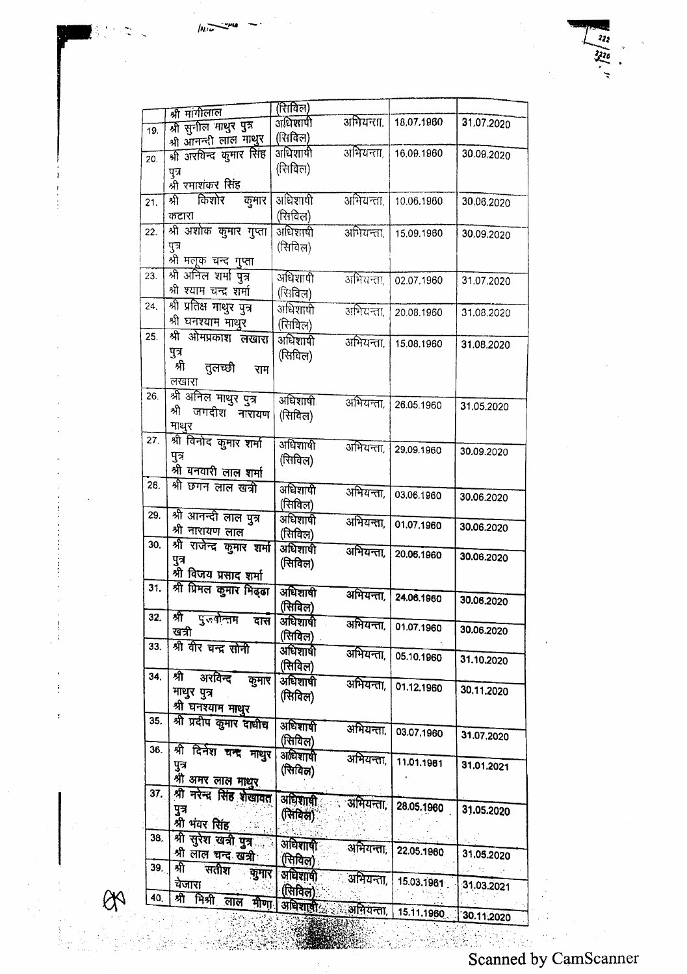|     | श्री मांगीलाल                    | (रिाविल)              |           |            |            |
|-----|----------------------------------|-----------------------|-----------|------------|------------|
|     | श्री सुनील माथुर पुत्र           | अधिशापी               | अभियन्ता, | 18,07,1960 | 31.07.2020 |
| 19. | श्री आनन्दी लाल माथुर            | (शिक्लि)              |           |            |            |
|     | श्री अरविन्द कुमार सिंह          | अधिशायी               | अभियन्ता, | 16.09.1960 | 30.09,2020 |
| 20. |                                  | (रिाविल)              |           |            |            |
|     | पुत्र                            |                       |           |            |            |
|     | श्री रमाशंकर सिंह                |                       |           |            |            |
| 21. | किशोर<br>श्री<br>कुमार           | अधिशाषी               | अभियन्ता  | 10.06.1960 | 30.06.2020 |
|     | कटारा                            | (रिनविल)              |           |            |            |
| 22. | श्री अशोक कुमार गुप्ता           | अधिशाषी               | अभियन्ता, | 15,09.1960 | 30.09.2020 |
|     | पुत्र                            | (सिविल)               |           |            |            |
|     | श्री मलूक चन्द गुप्ता            |                       |           |            |            |
| 23. | श्री अनिल शर्मा पुत्र            | अधिशापी               | अभियन्ता  | 02.07.1960 | 31.07.2020 |
|     | श्री श्याम चन्द्र शर्मा          | (सिविल)               |           |            |            |
| 24. | श्री प्रतिक्ष माधुर पुत्र        | अधिशापी               | अभियन्ता, |            |            |
|     | श्री घनश्याम माथुर               | (सिविल)               |           | 20.08.1960 | 31.08.2020 |
| 25. | श्री ओमप्रकाश लखारा              | अधिशापी               |           |            |            |
|     | पुत्र                            |                       | अभियन्ता, | 15.08.1960 | 31.08.2020 |
|     | श्री                             | (सिविल)               |           |            |            |
|     | तुलच्छी<br>राम<br>लखारा          |                       |           |            |            |
| 26. |                                  |                       |           |            |            |
|     | श्री अनिल माथुर पुत्र<br>श्री    | अधिशाषी               | अभियन्ता, | 26.05.1960 | 31.05.2020 |
|     | जगदीश नारायण                     | (सिविल)               |           |            |            |
|     | माथुर                            |                       |           |            |            |
| 27. | श्री विनोद कुमार शर्मा           | अधिशाषी               | अभियन्ता, | 29.09.1960 | 30.09.2020 |
|     | पुत्र                            | (सिविल)               |           |            |            |
|     | श्री बनवारी लाल शर्मा            |                       |           |            |            |
| 28. | श्री छगन लाल खत्री               | अधिशाषी               | अभियन्ता, | 03.06.1960 |            |
|     |                                  | (सिविल)               |           |            | 30.06.2020 |
| 29. | श्री आनन्दी लाल पुत्र            | अधिशाषी               | अभियन्ता, |            |            |
|     | श्री नारायण लाल                  | (सिविल)               |           | 01.07.1960 | 30.06.2020 |
| 30. | श्री राजेन्द्र कुमार शर्मा       | अधिशाषी               | अभियन्ता, |            |            |
|     | पुत्र                            | (सिविल)               |           | 20.06.1960 | 30.06.2020 |
|     | श्री विजय प्रसाद शर्मा           |                       |           |            |            |
| 31. | श्री प्रिमल कुमार मिढ्ढा         | अधिशाषी               | अभियन्ता, |            |            |
|     |                                  | (सिविल)               |           | 24.06.1960 | 30.06.2020 |
| 32. | প্পী<br>पुरुषोत्तम<br>दास        | अधिशाषी               |           |            |            |
|     | खत्री                            | (सिविल)               | अभियन्ता, | 01.07.1960 | 30.06.2020 |
| 33. | श्री वीर चन्द्र सोनी             | अधिशाषी               |           |            |            |
|     |                                  | (सिविल)               | अभियन्ता, | 05.10.1960 | 31.10.2020 |
| 34. | श्री अरविन्द<br>कुमार            | अधिशाषी               |           |            |            |
|     | माथुर पुत्र                      |                       | अभियन्ता, | 01.12.1960 | 30.11.2020 |
|     | श्री घनश्याम माथुर               | (सिविल)               |           |            |            |
| 35. | श्री प्रदीप कुमार दाधीच          |                       |           |            |            |
|     |                                  | अधिशाषी               | अभियन्ता, | 03.07.1960 | 31.07.2020 |
| 36. | श्री दिनेश चन्द्र माथुर          | (सिविल)               |           |            |            |
|     | पुत्र                            | अधिशाषी               | अभियन्ता, | 11.01.1961 | 31.01.2021 |
|     | श्री अमर लाल माथुर               | (सिविल)               |           |            |            |
| 37. | श्री नरेन्द्र सिंह शेखावत        |                       |           |            |            |
|     | पुत्र                            | अधिशाषी               | अभियन्ता, | 28.05.1960 | 31.05.2020 |
|     | श्री भंवर सिंह                   | (सिविल)'              |           |            |            |
| 38. |                                  |                       |           |            |            |
|     | श्री सुरेश खत्री पुत्र क         | अधिशाली               | अभियन्ता, | 22.05.1960 |            |
| 39. | श्री लाल चन्द खत्री <sup>.</sup> | (सिविल)               |           |            | 31.05.2020 |
|     | গী<br>सतीश कुमार                 | अधिशाषी               | अभियन्ता, |            |            |
|     | येजारा                           | (सिविल):              |           | 15.03.1961 | 31.03.2021 |
| 40. | श्री मिश्री लाल मीणा             | अधिशाली               | अमियन्ता, |            |            |
|     |                                  | <b>AND PARTICULAR</b> |           | 15.11.1960 | 30.11.2020 |

<u>ema</u>  $ln\overline{1}$ 

.~ '. ....

.... '.

 $QQ$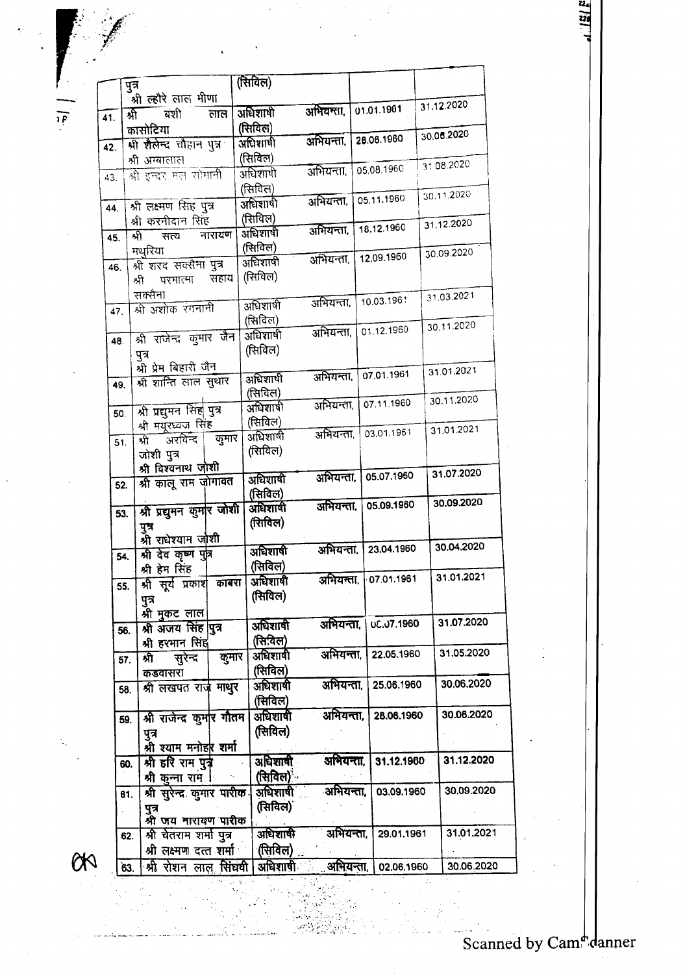Scanned by Cam<sup>d</sup>danner

30.06.2020

|     |                                     | せいせいさ            |           |                   | 30.11.2020 |
|-----|-------------------------------------|------------------|-----------|-------------------|------------|
| 44. | श्री लक्ष्मण सिंह पुत्र             | अधिशाषी          | अभियन्ता, | 05.11.1960        |            |
|     | श्री करनीदान सिंह                   | (सिविल)          |           |                   |            |
|     | नारायण<br>श्री<br>सत्य              | अधिशाषी          | अभियन्ता, | 18.12.1960        | 31.12.2020 |
| 45. |                                     | (सिविल)          |           |                   |            |
|     | मथुरिया                             |                  | अभियन्ता, | 12.09.1960        | 30.09.2020 |
| 46. | श्री शरद सक्सैमा पुत्र              | अधिशाषी          |           |                   |            |
|     | सहाय<br>श्री<br>परमात्मा            | (सिविल)          |           |                   |            |
|     | सक्सैना                             |                  |           |                   | 31.03.2021 |
| 47. | श्री अशोक रंगनानी                   | अधिशाषी          | अभियन्ता, | 10.03.1961        |            |
|     |                                     | (सिविल)          |           |                   |            |
|     |                                     | अधिशाषी          | अभियन्ता. | 01.12.1960        | 30.11.2020 |
| 48. | श्री राजेन्द्र कुमार जैन            | (सिविल)          |           |                   |            |
|     | पुत्र                               |                  |           |                   |            |
|     | श्री प्रेम बिहारी जैन               |                  |           | 07.01.1961        | 31.01.2021 |
| 49. | श्री शान्ति लाल सुधार               | अधिशाषी          | अभियन्ता. |                   |            |
|     |                                     | (सिविल)          |           |                   | 30.11.2020 |
| 50. | श्री प्रद्युमन सिंह पुत्र           | अधिशाषी          | अभियन्ता, | 07.11.1960        |            |
|     | श्री मयूरध्वज सिंह                  | (सिविल)          |           |                   |            |
|     | कुमार<br>अरविन्द                    | अधिशाषी          | अभियन्ता, | 03.01.1961        | 31.01.2021 |
| 51. | र्ऋ                                 | (सिविल)          |           |                   |            |
|     | जोशी पुत्र                          |                  |           |                   |            |
|     | श्री विश्वनाथ जोशी                  |                  | अभियन्ता, | 05.07.1960        | 31.07.2020 |
| 52. | श्री कालू राम जोगावत                | अधिशाषी          |           |                   |            |
|     |                                     | (सिविल)          |           |                   | 30.09.2020 |
| 53. | श्री प्रद्युमन कुमार जोशी           | अधिशाषी          | अभियन्ता. | 05.09.1960        |            |
|     | पुश्र                               | (सिविल)          |           |                   |            |
|     | श्री राधेश्याम जोशी                 |                  |           |                   |            |
|     |                                     | अधिशाषी          | अभियन्ता. | 23.04.1960        | 30.04.2020 |
| 54. | श्री देव कृष्ण पुत्र                | (सिविल)          |           |                   |            |
|     | श्री हेम सिंह                       | अधिशाषी          | अभियन्ता, | 07.01.1961        | 31.01.2021 |
|     | श्री सूर्य प्रकाश काबरा<br>55.      |                  |           |                   |            |
|     | पुत्र                               | (सिविल)          |           |                   |            |
|     | श्री मुकट लाल                       |                  |           |                   |            |
|     | श्री अजय सिंह पुत्र<br>56.          | अधिशाषी          | अभियन्ता, | <b>UC.U7.1960</b> | 31.07.2020 |
|     | श्री हरभान सिंह                     | (सि.विल)         |           |                   |            |
|     | कुमार                               | अधिशाषी          | अभियन्ता, | 22.05.1960        | 31.05.2020 |
|     | श्री<br>सुरेन्द<br>57.              | (सिविल)          |           |                   |            |
|     | कडवासरा                             |                  |           |                   | 30.06.2020 |
|     | श्री लखपत राज माथुर<br>58.          | अधिशाषी          | अभियन्ता. | 25.06.1960        |            |
|     |                                     | (सिविल)          |           |                   |            |
|     | श्री राजेन्द्र कुर्मार गौतम<br>59.  | अधिशाषी          | अभियन्ता, | 28.06.1960        | 30.06.2020 |
|     | पुत्र                               | (सिविल)          |           |                   |            |
|     | श्री श्याम मनोहर शर्मा              |                  |           |                   |            |
|     |                                     |                  |           |                   | 31.12.2020 |
|     | श्री हरि राम पुत्र<br>60.           | अधिशाषी          | अभियन्ता, | 31.12.1960        |            |
|     | श्री कुन्ना राम                     | (सिविल) <u>-</u> |           |                   |            |
|     | श्री सुरेन्द्र कुमार पारीक ।<br>61. | अधिशाषी          | अभियन्ता, | 03.09.1960        | 30.09.2020 |
|     | पुत्र                               | (सिविल)          |           |                   |            |
|     | श्री जय नारायण पारीक                |                  |           |                   |            |
|     | श्री चेतराम शर्मा पुत्र<br>62.      | अधिशाषी          | अभियन्ता, | 29.01.1961        | 31.01.2021 |
|     |                                     | (सिविल)          |           |                   |            |
|     | श्री लक्ष्मण दत्त शर्मा             |                  |           |                   |            |

(सिविल)

अधिशार्षी

(सिविल)

अधिशाषी

(सिविल)

अधिशाषी

(सिविल)

लाल

पुत्र .<br>श्री ल्हौरे लाल <u>भीणा</u> र्भो 41. कासोटिया श्री शैलेन्द चौहान पुत्र 42. श्री अम्बालाल

43.

Q0

63. श्री रोशन लाल सिंघवी अधिशाषी

बंशी

श्री इन्दर मल सोगानी

 $rac{24}{220}$ 

31.12.2020

30.06.2020

31 08.2020

30.11.2020

01.01.1961

28.06.1960

05.08.1960

अभियन्ता, 02.06.1960

 $\mathcal{L}(\mathcal{L}^{(1)})$  .  $\sim$ 

अभियन्ता,

अभियन्ता,

अभियन्ता.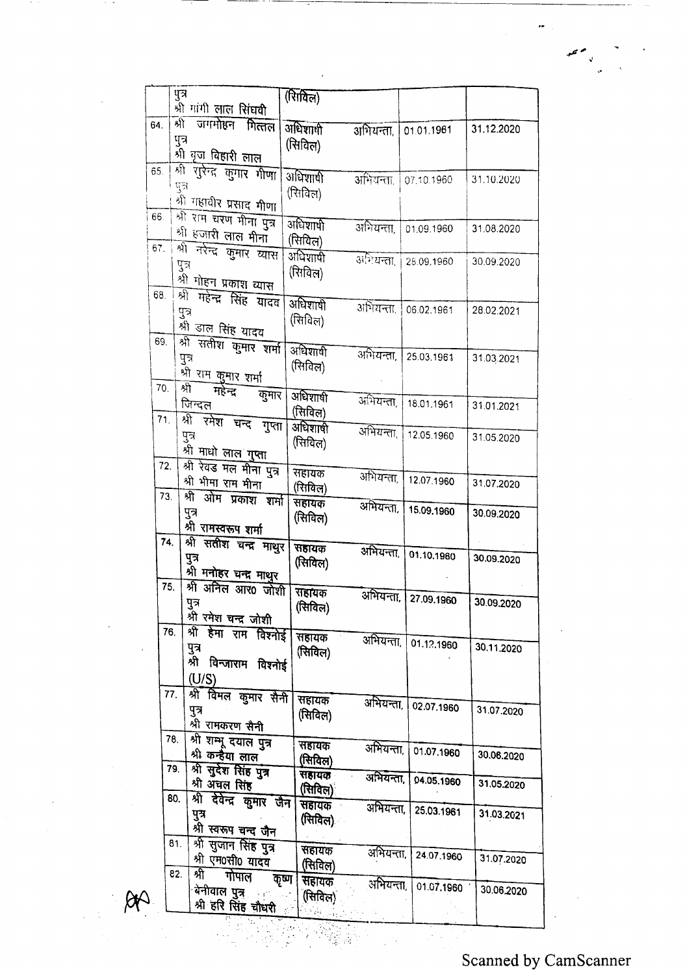|     | पुत्र                           | (R <sub>II</sub> ) |           |            |            |
|-----|---------------------------------|--------------------|-----------|------------|------------|
|     | श्री गांगी लाल सिंघवी           |                    |           |            |            |
| 64. | র্কা<br>जगमोहन गित्तल           | अधिशाली            | अभियन्ता, | 01.01.1961 | 31.12.2020 |
|     | पुत्र                           | (सिविल)            |           |            |            |
|     | श्री वृज विहारी लाल             |                    |           |            |            |
| 65. | शी<br>रारेन्द्र कुमार भीणा      | अधिशार्षी          | अभियन्ता. |            |            |
|     | पुत्र                           | (सिविल)            |           | 07.10.1960 | 31.10.2020 |
|     | शी गहावीर प्रसाद मीणा           |                    |           |            |            |
| 66. | श्री राम चरण मीना पुत्र         |                    |           |            |            |
|     | श्री हजारी लाल मीना             | अधिशापी            | अभियन्ता, | 01.09.1960 | 31.08.2020 |
| 67. | श्री नरेन्द्र कुमार व्यास       | (सिविल)            |           |            |            |
|     | पुत्र                           | अधिशायी            | अभियन्ता, | 28.09.1960 | 30.09.2020 |
|     | श्री गोहन प्रकाश व्यास          | (रिाविल)           |           |            |            |
| 68. | গ্গী<br>महेन्द्र सिंह यादव      |                    |           |            |            |
|     | पुत्र                           | अधिशाषी            | अभियन्ता. | 06.02.1961 | 28.02.2021 |
|     | श्री डाल सिंह यादव              | (सिविल)            |           |            |            |
| 69. | श्री सतीश कुमार शर्मा           |                    |           |            |            |
|     | पुत्र                           | अधिशाली            | अभियन्ता, | 25.03.1961 | 31.03.2021 |
|     | श्री राम कुमार शर्मा            | (सिविल)            |           |            |            |
| 70. | প্ৰী<br>महेन्द्र                |                    |           |            |            |
|     | कुमार<br>जिन्दल                 | अधिशाषी            | अभियन्ता, | 18.01.1961 | 31.01.2021 |
| 71. | श्री रमेश चन्द                  | (सिविल)            |           |            |            |
|     | गुप्ता<br>पुत्र                 | अधिशाषी            | अभियन्ता, | 12.05.1960 | 31.05.2020 |
|     | श्री माधो ला <u>ल गुप्ता</u>    | (सिविल)            |           |            |            |
| 72. | श्री रेवड मल मीना पुत्र         |                    |           |            |            |
|     | श्री भीमा राम मीना              | सहायक              | अभियन्ता, | 12.07.1960 | 31.07.2020 |
| 73. | श्री ओम प्रकाश शर्मा            | (सियिल)            |           |            |            |
|     | पुत्र                           | सहायक              | अभियन्ता, | 15.09.1960 | 30.09.2020 |
|     | श्री रामस्वरूप शर्मा            | (सिविल)            |           |            |            |
| 74. | श्री सतीश चन्द्र माथुर          |                    |           |            |            |
|     | पुत्र                           | सहायक              | अभियन्ता, | 01.10.1960 | 30.09.2020 |
|     | श्री मनोहर चन्द्र माथुर         | (सिविल)            |           |            |            |
| 75. | श्री अनिल आर0 जोशी              |                    |           |            |            |
|     | पुत्र                           | सहायक              | अभियन्ता, | 27.09.1960 | 30.09.2020 |
|     | श्री रमेश चन्द्र जोशी           | (सिविल)            |           |            |            |
| 76. | श्री हेमा राम विश्नोई           | सहायक              |           |            |            |
|     | पुत्र                           | (सिविल)            | अभियन्ता, | 01.12.1960 | 30.11.2020 |
|     | श्री विन्जाराम विश्नोई          |                    |           |            |            |
|     | (U/S)                           |                    |           |            |            |
|     | श्री विमल कुमार सैनी<br>77.     |                    |           |            |            |
|     | पुत्र                           | सहायक<br>(सिविल)   | अभियन्ता  | 02.07.1960 | 31.07.2020 |
|     | श्री रामकरण सैनी                |                    |           |            |            |
|     | श्री शम्भू दयाल पुत्र<br>78.    | सहायक              |           |            |            |
|     | श्री कन्हैया लाल                | (सिविल)            | अभियन्ता, | 01.07.1960 | 30.06.2020 |
|     | श्री सुर्देश सिंह पुत्र<br>79.  | सहायक              |           |            |            |
|     | श्री अंचल सिंह                  | (सिविल)            | अभियन्ता, | 04.05.1960 | 31.05.2020 |
|     | श्री देवेन्द्र कुमार जैन<br>80. | <b>सहायक</b>       | अभियन्ता, |            |            |
|     | पुत्र                           | (सिविल)            |           | 25.03.1961 | 31.03.2021 |
|     | श्री स्वरूप चन्द जैन            |                    |           |            |            |
|     | श्री सुजान सिंह पुत्र<br>81.    | सहायक              | अभियन्ता, |            |            |
|     | श्री एम0सी0 यादव                | (सिविल)            |           | 24.07.1960 | 31.07.2020 |
|     | श्री<br>82.<br>गोपाल            | कृष्ण<br>सहायक     | अभियन्ता, |            |            |
|     | बेनीवाल प <del>ुत्</del> र      | (सिविल)            |           | 01.07.1960 | 30.06.2020 |
|     | श्री हरि सिंह चौधरी             |                    |           |            |            |
|     |                                 |                    |           |            |            |

::'.'

i<br>A

 $R$ 

 $\ddot{\phantom{0}}$ 

م حم

 $\frac{1}{2}$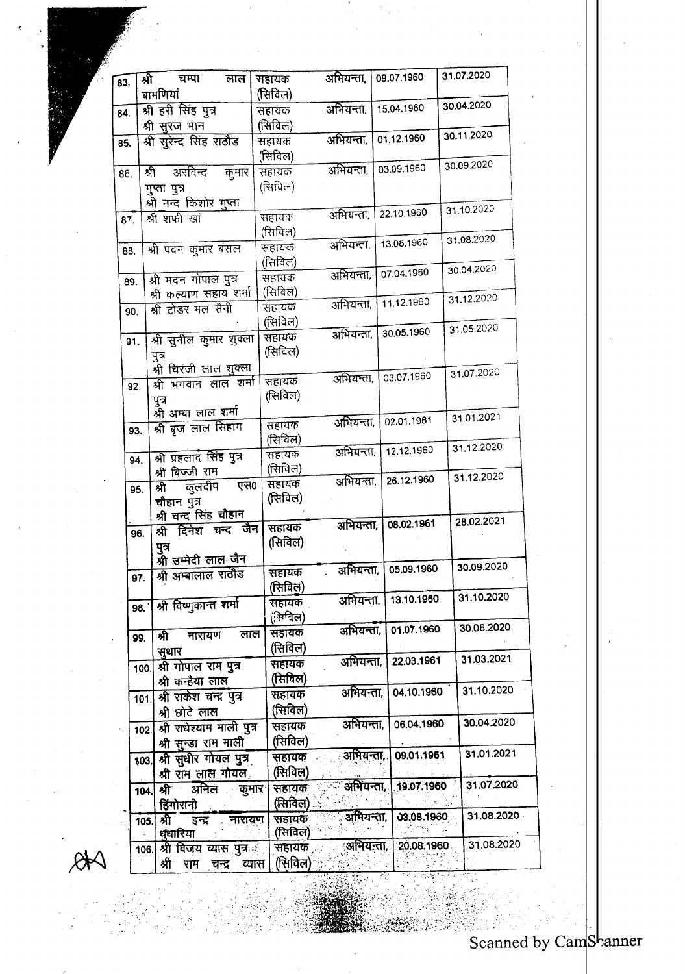| 83. |     | श्री<br>चम्पा<br>लाल                  | सहायक             | अभियन्ता, | 09.07.1960 | 31.07.2020 |
|-----|-----|---------------------------------------|-------------------|-----------|------------|------------|
|     |     | बामणियां                              | (सिविल)           |           |            | 30.04.2020 |
| 84. |     | श्री हरी सिंह पुत्र                   | सहायक             | अभियन्ता, | 15.04.1960 |            |
|     |     | श्री सुरज भान                         | (सिविल)           |           |            | 30.11.2020 |
| 85. |     | श्री सुरेन्द्र सिंह राठौड             | सहायक             | अभियन्ता. | 01.12.1960 |            |
|     |     |                                       | (सिविल)           |           | 03.09.1960 | 30.09.2020 |
| 86. |     | श्री<br>्<br>अरविन्द<br>कुमार         | सहायक             | अभियन्ता, |            |            |
|     |     | गुप्ता पुत्र                          | (सिविल)           |           |            |            |
|     |     | श्री नन्द किशोर गुप्ता                |                   | अभियन्ता, | 22.10.1960 | 31.10.2020 |
| 87. |     | श्री शफी खां                          | सहायक<br>(सिविल)  |           |            |            |
|     |     |                                       | सहायक             | अभियन्ता. | 13.08.1960 | 31.08.2020 |
| 88. |     | श्री पवन कुमार बंसल                   | (सिविल)           |           |            |            |
|     |     | श्री मदन गोपाल पुत्र                  | सहायक             | अभियन्ता, | 07.04.1960 | 30.04.2020 |
|     | 89. | श्री कल्याण सहाय शर्मा                | (सिविल)           |           |            |            |
|     | 90. | श्री टोडर मल सैनी                     | सहायक             | अभियन्ता, | 11.12.1960 | 31.12.2020 |
|     |     |                                       | (सिविल)           |           |            |            |
|     | 91. | श्री सुनील कुमार शुक्ला               | सहायक             | अभियन्ता, | 30.05.1960 | 31.05.2020 |
|     |     | पुत्र                                 | (सिविल)           |           |            |            |
|     |     | श्री चिरजी लाल शुक्ला                 |                   |           |            | 31.07.2020 |
|     | 92. | श्री भगवान लाल शर्मा                  | सहायक             | अभियन्ता, | 03.07.1960 |            |
|     |     | पुत्र                                 | (सिविल)           |           |            |            |
|     |     | श्री अम्बा लाल शर्मा                  |                   |           | 02.01.1961 | 31.01.2021 |
|     | 93. | श्री बृज लाल सिहाग                    | सहायक             | अभियन्ता, |            |            |
|     |     |                                       | (सिविल)           | अभियन्ता, | 12.12.1960 | 31.12.2020 |
|     | 94. | श्री प्रहलाद सिंह पुत्र               | सहायक<br>(सिविल)  |           |            |            |
|     |     | श्री बिज्जी राम                       | सहायक             | अभियन्ता, | 26.12.1960 | 31.12.2020 |
|     | 95. | एस०<br>कुलदीप<br>श्री                 | (सिविल)           |           |            |            |
|     |     | चौहान पुत्र<br>श्री चन्द सिंह चौहान   |                   |           |            |            |
|     | 96. | श्री दिनेश चन्द जैन                   | सहायक             | अभियन्ता, | 08.02.1961 | 28.02.2021 |
|     |     | पुत्र                                 | (सिविल)           |           |            |            |
|     |     | श्री उम्मेदी लाल जैन                  |                   |           |            |            |
|     | 97. | श्री अम्बालाल राठौड                   | सहायक             | अभियन्ता, | 05.09.1960 | 30.09.2020 |
|     |     |                                       | (सिविल)           |           |            | 31.10.2020 |
|     | 98. | श्री विष्णुकान्त शर्मा                | सहायक             | अभियन्ता, | 13.10.1960 |            |
|     |     |                                       | (सिविल)           |           |            | 30.06.2020 |
|     | 99. | लाल<br>श्री<br>नारायण                 | सहायक             | अभियन्ता, | 01.07.1960 |            |
|     |     | सूथार                                 | (सिविल)           | अभियन्ता. | 22.03.1961 | 31.03.2021 |
|     |     | श्री गोपाल राम पुत्र<br>100.          | सहायक             |           |            |            |
|     |     | श्री कन्हैया लाल                      | (सिविल)           | अभियन्ता, | 04.10.1960 | 31.10.2020 |
|     |     | श्री राकेश चन्द्र पुत्र<br>101.       | सहायक             |           |            |            |
|     |     | श्री छोटे लाल                         | (सिविल)           | अभियन्ता, | 06.04.1960 | 30.04.2020 |
|     |     | श्री राधेश्याम माली पुत्र<br>102.     | सहायक             |           |            |            |
|     |     | श्री सुन्डा राम माली                  | (सिविल)           | अभियन्ता. | 09.01.1961 | 31.01.2021 |
|     |     | श्री सुधीर गोयल पुत्र<br>103.         | सहायक<br>(सिविल)  |           |            |            |
|     |     | श्री राम लाल गोयल                     |                   | अभियन्ता, | 19.07.1960 | 31.07.2020 |
|     |     | अनिल<br><b>कुमार</b><br>श्री<br>104.  | सहायकः<br>(सिविल) |           |            |            |
|     |     | हिंगोरानी<br>श्री                     | सहायक             | अभियन्ता, | 03.08.1960 | 31.08.2020 |
|     |     | नारायण<br>इन्द्र<br>105.<br>धूंधारिया | (सिविल)           |           |            |            |
|     |     | श्री विजय व्यास पुत्र<br>106.         | सहायक             | अभियन्ता, | 20.08.1960 | 31.08.2020 |
|     |     | श्री राम<br>चन्द्र<br>व्यास           | (सिविल)           |           |            |            |
|     |     |                                       |                   |           |            |            |

 $A$ 

:,"

::.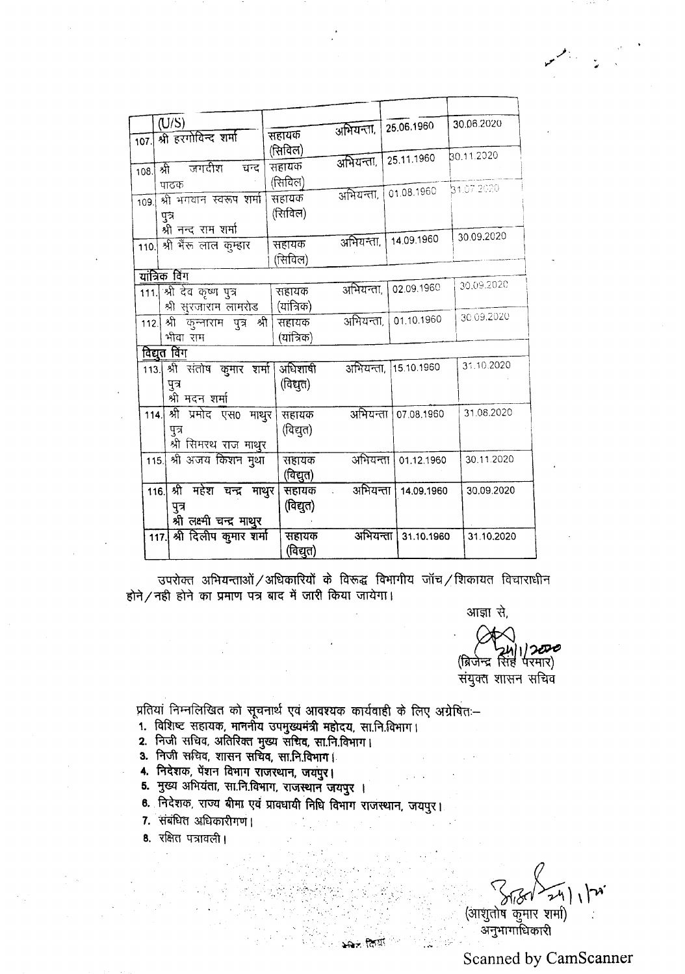| 107. | (U/S)<br>श्री हरगोविन्द शर्मा                                        | सहायक                       | अभियन्ता.                     | 25.06.1960           | 30.06.2020 |
|------|----------------------------------------------------------------------|-----------------------------|-------------------------------|----------------------|------------|
| 108. | $\overline{\phantom{a}}$ जगदीश<br>श्री<br>चन्द                       | (सिविल)<br>सहायक            | अभियन्ता,                     | 25.11.1960           | 80.11.2020 |
| 109. | पाठक<br>श्री भगवान स्वरूप शर्मा<br>पुत्र<br>श्री नन्द राम शर्मा      | (सिविल)<br>सहायक<br>(सिविल) |                               | अभियन्ता, 01.08.1960 | 31.07.2020 |
|      | 110. श्री भैंरु लाल कुम्हार                                          | सहायक<br>(सिविल)            | अभियन्ता.                     | 14.09.1960           | 30.09.2020 |
|      | यांत्रिक विंग                                                        |                             |                               |                      |            |
|      | 111. श्री देव कृष्ण पुत्र<br>श्री सुरजाराम लामरोड                    | सहायक<br>(यांत्रिक)         | अभियन्ता.                     | 02.09.1960           | 30.09.2020 |
| 112. | श्री कुन्नाराम पुत्र श्री '<br>भीवा राम                              | सहायक<br>(यांत्रिक)         | अभियन्ता,                     | 01.10.1960           | 30.09.2020 |
|      | <u>विद्युत विंग</u>                                                  |                             |                               |                      |            |
|      | 113. श्री संतोष कुमार शर्मा।<br>पुत्र<br>श्री मदन शर्मा              | अधिशाषी<br>(विद्युत)        |                               | अभियन्ता, 15.10.1960 | 31.10.2020 |
|      | श्री प्रमोद एस0 माथुर<br>114.<br>पुत्र<br>श्री सिमरथ राज माथुर       | सहायक<br>(विद्युत)          | अभियन्ता                      | 07.08.1960           | 31.08.2020 |
|      | 115. श्री अजय किशन मुथा                                              | सहायक<br>(विद्युत)          | अभियन्ता                      | 01.12.1960           | 30.11.2020 |
|      | श्री महेश चन्द्र माथुर<br>116.<br>पुत्र<br>श्री लक्ष्मी चन्द्र माथुर | सहायक<br>(विद्युत)          | अभियन्ता  <br>$\sim 10^{-11}$ | 14.09.1960           | 30.09.2020 |
|      | श्री दिलीप कुमार शर्मा<br>117.                                       | सहायक<br>(विद्युत)          | अभियन्ता                      | 31.10.1960           | 31.10.2020 |

उपरोक्त अभियन्ताओं / अधिकारियों के विरूद्ध विभागीय जॉच / शिकायत विचाराधीन  $\frac{1}{2}$ ती होने का प्रमाण पत्र बाद में जारी किया जायेगा।

आज्ञा से,

~ 1241112000<br>(ब्रिजेन्द्र सिंह परमार) संयुक्त शासन सचिव

प्रांतया निम्नालाखत का सूचनाथ एवं आवश्यक कायवाहा के लिए अ

- 1. विशिष्ट सहायक, माननीय उपमुख्यमंत्री महोदय, सा.नि.विभाग।
- **2. निजी सचिव, अतिरिक्त**्
- **3. निजी स**चिव, शासन
- 4. ITERIO,
- 5. मुख्य अभियंता, सा.नि.विभाग, राजस्थान जयपुर ।
- 8. निदेशक, राज्य बीमा एवं प्रावधायी निधि विभाग राजस्थान, जयपुर।

.....**. '**

 $\mathcal{L}_\mathrm{c}$  ,  $\mathcal{L}_\mathrm{c}$  ,  $\mathcal{L}_\mathrm{c}$ 

.<br>تون ب

- 7. संबंधित अधिकारीगण |
- 8. रक्षित पत्रावली ।

(आशुतोष कुमार शर्मा)<br>अनुभागाधिकारी

## **Scanned by CamScanner**